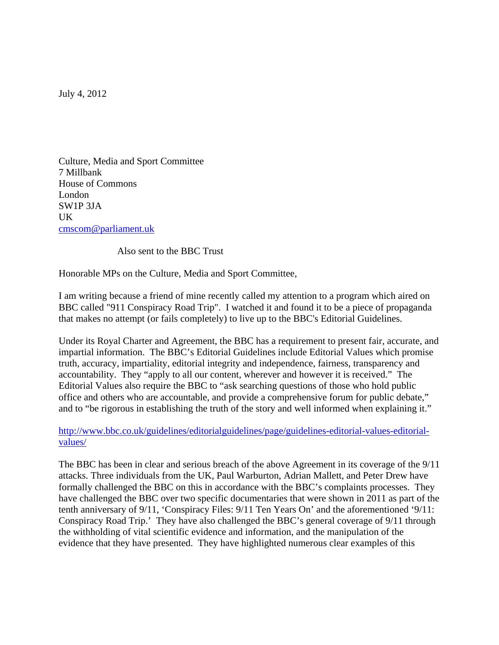July 4, 2012

Culture, Media and Sport Committee 7 Millbank House of Commons London SW1P 3JA UK cmscom@parliament.uk

Also sent to the BBC Trust

Honorable MPs on the Culture, Media and Sport Committee,

I am writing because a friend of mine recently called my attention to a program which aired on BBC called "911 Conspiracy Road Trip". I watched it and found it to be a piece of propaganda that makes no attempt (or fails completely) to live up to the BBC's Editorial Guidelines.

Under its Royal Charter and Agreement, the BBC has a requirement to present fair, accurate, and impartial information. The BBC's Editorial Guidelines include Editorial Values which promise truth, accuracy, impartiality, editorial integrity and independence, fairness, transparency and accountability. They "apply to all our content, wherever and however it is received." The Editorial Values also require the BBC to "ask searching questions of those who hold public office and others who are accountable, and provide a comprehensive forum for public debate," and to "be rigorous in establishing the truth of the story and well informed when explaining it."

http://www.bbc.co.uk/guidelines/editorialguidelines/page/guidelines-editorial-values-editorialvalues/

The BBC has been in clear and serious breach of the above Agreement in its coverage of the 9/11 attacks. Three individuals from the UK, Paul Warburton, Adrian Mallett, and Peter Drew have formally challenged the BBC on this in accordance with the BBC's complaints processes. They have challenged the BBC over two specific documentaries that were shown in 2011 as part of the tenth anniversary of 9/11, 'Conspiracy Files: 9/11 Ten Years On' and the aforementioned '9/11: Conspiracy Road Trip.' They have also challenged the BBC's general coverage of 9/11 through the withholding of vital scientific evidence and information, and the manipulation of the evidence that they have presented. They have highlighted numerous clear examples of this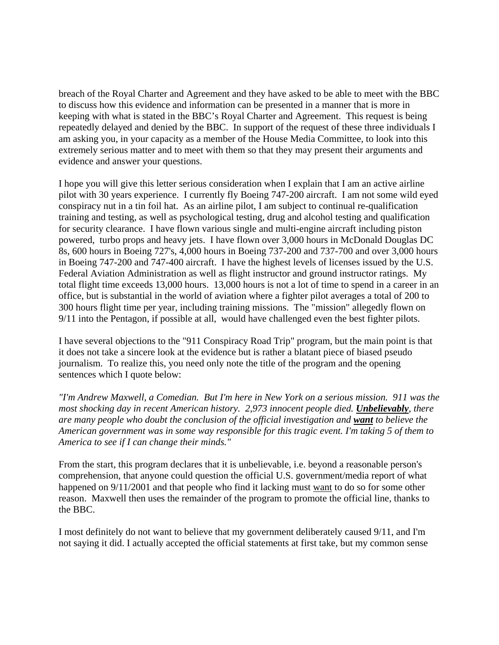breach of the Royal Charter and Agreement and they have asked to be able to meet with the BBC to discuss how this evidence and information can be presented in a manner that is more in keeping with what is stated in the BBC's Royal Charter and Agreement. This request is being repeatedly delayed and denied by the BBC. In support of the request of these three individuals I am asking you, in your capacity as a member of the House Media Committee, to look into this extremely serious matter and to meet with them so that they may present their arguments and evidence and answer your questions.

I hope you will give this letter serious consideration when I explain that I am an active airline pilot with 30 years experience. I currently fly Boeing 747-200 aircraft. I am not some wild eyed conspiracy nut in a tin foil hat. As an airline pilot, I am subject to continual re-qualification training and testing, as well as psychological testing, drug and alcohol testing and qualification for security clearance. I have flown various single and multi-engine aircraft including piston powered, turbo props and heavy jets. I have flown over 3,000 hours in McDonald Douglas DC 8s, 600 hours in Boeing 727's, 4,000 hours in Boeing 737-200 and 737-700 and over 3,000 hours in Boeing 747-200 and 747-400 aircraft. I have the highest levels of licenses issued by the U.S. Federal Aviation Administration as well as flight instructor and ground instructor ratings. My total flight time exceeds 13,000 hours. 13,000 hours is not a lot of time to spend in a career in an office, but is substantial in the world of aviation where a fighter pilot averages a total of 200 to 300 hours flight time per year, including training missions. The "mission" allegedly flown on 9/11 into the Pentagon, if possible at all, would have challenged even the best fighter pilots.

I have several objections to the "911 Conspiracy Road Trip" program, but the main point is that it does not take a sincere look at the evidence but is rather a blatant piece of biased pseudo journalism. To realize this, you need only note the title of the program and the opening sentences which I quote below:

*"I'm Andrew Maxwell, a Comedian. But I'm here in New York on a serious mission. 911 was the most shocking day in recent American history. 2,973 innocent people died. Unbelievably, there are many people who doubt the conclusion of the official investigation and want to believe the American government was in some way responsible for this tragic event. I'm taking 5 of them to America to see if I can change their minds."* 

From the start, this program declares that it is unbelievable, i.e. beyond a reasonable person's comprehension, that anyone could question the official U.S. government/media report of what happened on 9/11/2001 and that people who find it lacking must want to do so for some other reason. Maxwell then uses the remainder of the program to promote the official line, thanks to the BBC.

I most definitely do not want to believe that my government deliberately caused 9/11, and I'm not saying it did. I actually accepted the official statements at first take, but my common sense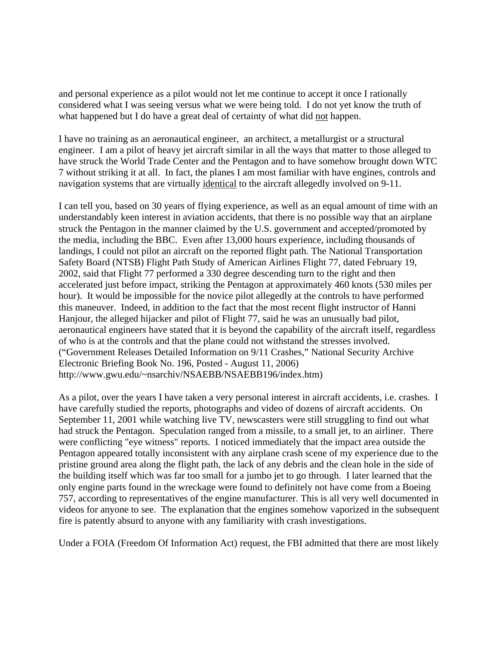and personal experience as a pilot would not let me continue to accept it once I rationally considered what I was seeing versus what we were being told. I do not yet know the truth of what happened but I do have a great deal of certainty of what did not happen.

I have no training as an aeronautical engineer, an architect, a metallurgist or a structural engineer. I am a pilot of heavy jet aircraft similar in all the ways that matter to those alleged to have struck the World Trade Center and the Pentagon and to have somehow brought down WTC 7 without striking it at all. In fact, the planes I am most familiar with have engines, controls and navigation systems that are virtually identical to the aircraft allegedly involved on 9-11.

I can tell you, based on 30 years of flying experience, as well as an equal amount of time with an understandably keen interest in aviation accidents, that there is no possible way that an airplane struck the Pentagon in the manner claimed by the U.S. government and accepted/promoted by the media, including the BBC. Even after 13,000 hours experience, including thousands of landings, I could not pilot an aircraft on the reported flight path. The National Transportation Safety Board (NTSB) Flight Path Study of American Airlines Flight 77, dated February 19, 2002, said that Flight 77 performed a 330 degree descending turn to the right and then accelerated just before impact, striking the Pentagon at approximately 460 knots (530 miles per hour). It would be impossible for the novice pilot allegedly at the controls to have performed this maneuver. Indeed, in addition to the fact that the most recent flight instructor of Hanni Hanjour, the alleged hijacker and pilot of Flight 77, said he was an unusually bad pilot, aeronautical engineers have stated that it is beyond the capability of the aircraft itself, regardless of who is at the controls and that the plane could not withstand the stresses involved. ("Government Releases Detailed Information on 9/11 Crashes," National Security Archive Electronic Briefing Book No. 196, Posted - August 11, 2006) http://www.gwu.edu/~nsarchiv/NSAEBB/NSAEBB196/index.htm)

As a pilot, over the years I have taken a very personal interest in aircraft accidents, i.e. crashes. I have carefully studied the reports, photographs and video of dozens of aircraft accidents. On September 11, 2001 while watching live TV, newscasters were still struggling to find out what had struck the Pentagon. Speculation ranged from a missile, to a small jet, to an airliner. There were conflicting "eye witness" reports. I noticed immediately that the impact area outside the Pentagon appeared totally inconsistent with any airplane crash scene of my experience due to the pristine ground area along the flight path, the lack of any debris and the clean hole in the side of the building itself which was far too small for a jumbo jet to go through. I later learned that the only engine parts found in the wreckage were found to definitely not have come from a Boeing 757, according to representatives of the engine manufacturer. This is all very well documented in videos for anyone to see. The explanation that the engines somehow vaporized in the subsequent fire is patently absurd to anyone with any familiarity with crash investigations.

Under a FOIA (Freedom Of Information Act) request, the FBI admitted that there are most likely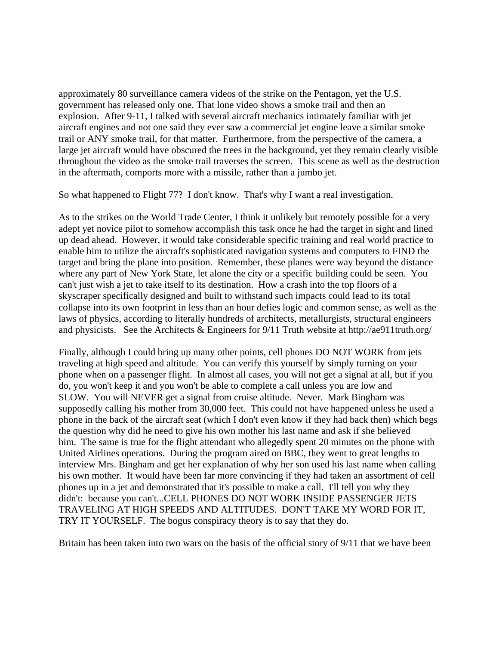approximately 80 surveillance camera videos of the strike on the Pentagon, yet the U.S. government has released only one. That lone video shows a smoke trail and then an explosion. After 9-11, I talked with several aircraft mechanics intimately familiar with jet aircraft engines and not one said they ever saw a commercial jet engine leave a similar smoke trail or ANY smoke trail, for that matter. Furthermore, from the perspective of the camera, a large jet aircraft would have obscured the trees in the background, yet they remain clearly visible throughout the video as the smoke trail traverses the screen. This scene as well as the destruction in the aftermath, comports more with a missile, rather than a jumbo jet.

So what happened to Flight 77? I don't know. That's why I want a real investigation.

As to the strikes on the World Trade Center, I think it unlikely but remotely possible for a very adept yet novice pilot to somehow accomplish this task once he had the target in sight and lined up dead ahead. However, it would take considerable specific training and real world practice to enable him to utilize the aircraft's sophisticated navigation systems and computers to FIND the target and bring the plane into position. Remember, these planes were way beyond the distance where any part of New York State, let alone the city or a specific building could be seen. You can't just wish a jet to take itself to its destination. How a crash into the top floors of a skyscraper specifically designed and built to withstand such impacts could lead to its total collapse into its own footprint in less than an hour defies logic and common sense, as well as the laws of physics, according to literally hundreds of architects, metallurgists, structural engineers and physicists. See the Architects & Engineers for 9/11 Truth website at http://ae911truth.org/

Finally, although I could bring up many other points, cell phones DO NOT WORK from jets traveling at high speed and altitude. You can verify this yourself by simply turning on your phone when on a passenger flight. In almost all cases, you will not get a signal at all, but if you do, you won't keep it and you won't be able to complete a call unless you are low and SLOW. You will NEVER get a signal from cruise altitude. Never. Mark Bingham was supposedly calling his mother from 30,000 feet. This could not have happened unless he used a phone in the back of the aircraft seat (which I don't even know if they had back then) which begs the question why did he need to give his own mother his last name and ask if she believed him. The same is true for the flight attendant who allegedly spent 20 minutes on the phone with United Airlines operations. During the program aired on BBC, they went to great lengths to interview Mrs. Bingham and get her explanation of why her son used his last name when calling his own mother. It would have been far more convincing if they had taken an assortment of cell phones up in a jet and demonstrated that it's possible to make a call. I'll tell you why they didn't: because you can't...CELL PHONES DO NOT WORK INSIDE PASSENGER JETS TRAVELING AT HIGH SPEEDS AND ALTITUDES. DON'T TAKE MY WORD FOR IT, TRY IT YOURSELF. The bogus conspiracy theory is to say that they do.

Britain has been taken into two wars on the basis of the official story of 9/11 that we have been